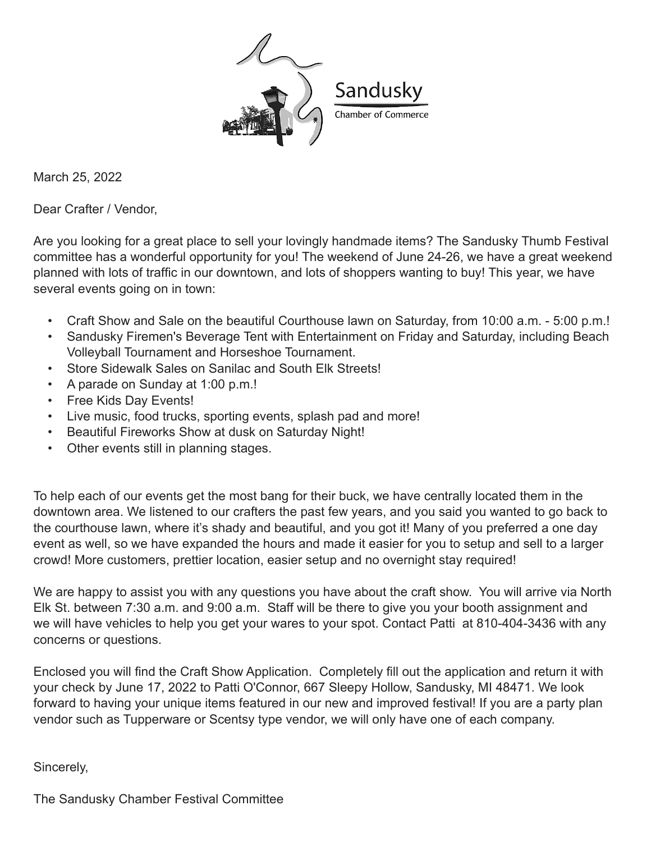

March 25, 2022

Dear Crafter / Vendor,

Are you looking for a great place to sell your lovingly handmade items? The Sandusky Thumb Festival committee has a wonderful opportunity for you! The weekend of June 24-26, we have a great weekend planned with lots of traffic in our downtown, and lots of shoppers wanting to buy! This year, we have several events going on in town:

- Craft Show and Sale on the beautiful Courthouse lawn on Saturday, from 10:00 a.m. 5:00 p.m.!
- Sandusky Firemen's Beverage Tent with Entertainment on Friday and Saturday, including Beach Volleyball Tournament and Horseshoe Tournament.
- Store Sidewalk Sales on Sanilac and South Elk Streets!
- A parade on Sunday at 1:00 p.m.!
- Free Kids Day Events!
- Live music, food trucks, sporting events, splash pad and more!
- Beautiful Fireworks Show at dusk on Saturday Night!
- Other events still in planning stages.

To help each of our events get the most bang for their buck, we have centrally located them in the downtown area. We listened to our crafters the past few years, and you said you wanted to go back to the courthouse lawn, where it's shady and beautiful, and you got it! Many of you preferred a one day event as well, so we have expanded the hours and made it easier for you to setup and sell to a larger crowd! More customers, prettier location, easier setup and no overnight stay required!

We are happy to assist you with any questions you have about the craft show. You will arrive via North Elk St. between 7:30 a.m. and 9:00 a.m. Staff will be there to give you your booth assignment and we will have vehicles to help you get your wares to your spot. Contact Patti at 810-404-3436 with any concerns or questions.

Enclosed you will find the Craft Show Application. Completely fill out the application and return it with your check by June 17, 2022 to Patti O'Connor, 667 Sleepy Hollow, Sandusky, MI 48471. We look forward to having your unique items featured in our new and improved festival! If you are a party plan vendor such as Tupperware or Scentsy type vendor, we will only have one of each company.

Sincerely,

The Sandusky Chamber Festival Committee